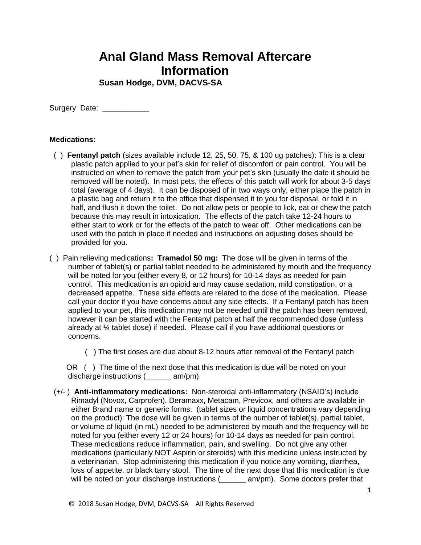## **Anal Gland Mass Removal Aftercare Information**

**Susan Hodge, DVM, DACVS-SA**

Surgery Date: \_\_\_\_\_\_\_\_\_\_\_\_

## **Medications:**

- ( ) **Fentanyl patch** (sizes available include 12, 25, 50, 75, & 100 ug patches): This is a clear plastic patch applied to your pet's skin for relief of discomfort or pain control. You will be instructed on when to remove the patch from your pet's skin (usually the date it should be removed will be noted). In most pets, the effects of this patch will work for about 3-5 days total (average of 4 days). It can be disposed of in two ways only, either place the patch in a plastic bag and return it to the office that dispensed it to you for disposal, or fold it in half, and flush it down the toilet. Do not allow pets or people to lick, eat or chew the patch because this may result in intoxication. The effects of the patch take 12-24 hours to either start to work or for the effects of the patch to wear off. Other medications can be used with the patch in place if needed and instructions on adjusting doses should be provided for you.
- ( ) Pain relieving medications**: Tramadol 50 mg:** The dose will be given in terms of the number of tablet(s) or partial tablet needed to be administered by mouth and the frequency will be noted for you (either every 8, or 12 hours) for 10-14 days as needed for pain control. This medication is an opioid and may cause sedation, mild constipation, or a decreased appetite. These side effects are related to the dose of the medication. Please call your doctor if you have concerns about any side effects. If a Fentanyl patch has been applied to your pet, this medication may not be needed until the patch has been removed, however it can be started with the Fentanyl patch at half the recommended dose (unless already at ¼ tablet dose) if needed. Please call if you have additional questions or concerns.
	- ( ) The first doses are due about 8-12 hours after removal of the Fentanyl patch

 OR ( ) The time of the next dose that this medication is due will be noted on your discharge instructions (  $am/m$ ).

 (+/- ) **Anti-inflammatory medications:** Non-steroidal anti-inflammatory (NSAID's) include Rimadyl (Novox, Carprofen), Deramaxx, Metacam, Previcox, and others are available in either Brand name or generic forms: (tablet sizes or liquid concentrations vary depending on the product): The dose will be given in terms of the number of tablet(s), partial tablet, or volume of liquid (in mL) needed to be administered by mouth and the frequency will be noted for you (either every 12 or 24 hours) for 10-14 days as needed for pain control. These medications reduce inflammation, pain, and swelling. Do not give any other medications (particularly NOT Aspirin or steroids) with this medicine unless instructed by a veterinarian. Stop administering this medication if you notice any vomiting, diarrhea, loss of appetite, or black tarry stool. The time of the next dose that this medication is due will be noted on your discharge instructions (example am/pm). Some doctors prefer that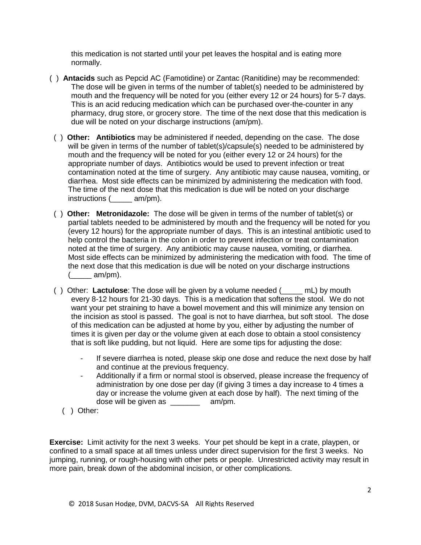this medication is not started until your pet leaves the hospital and is eating more normally.

- ( ) **Antacids** such as Pepcid AC (Famotidine) or Zantac (Ranitidine) may be recommended: The dose will be given in terms of the number of tablet(s) needed to be administered by mouth and the frequency will be noted for you (either every 12 or 24 hours) for 5-7 days. This is an acid reducing medication which can be purchased over-the-counter in any pharmacy, drug store, or grocery store. The time of the next dose that this medication is due will be noted on your discharge instructions (am/pm).
- ( ) **Other: Antibiotics** may be administered if needed, depending on the case. The dose will be given in terms of the number of tablet(s)/capsule(s) needed to be administered by mouth and the frequency will be noted for you (either every 12 or 24 hours) for the appropriate number of days. Antibiotics would be used to prevent infection or treat contamination noted at the time of surgery. Any antibiotic may cause nausea, vomiting, or diarrhea. Most side effects can be minimized by administering the medication with food. The time of the next dose that this medication is due will be noted on your discharge instructions (  $am/m$ ).
- ( ) **Other: Metronidazole:** The dose will be given in terms of the number of tablet(s) or partial tablets needed to be administered by mouth and the frequency will be noted for you (every 12 hours) for the appropriate number of days. This is an intestinal antibiotic used to help control the bacteria in the colon in order to prevent infection or treat contamination noted at the time of surgery. Any antibiotic may cause nausea, vomiting, or diarrhea. Most side effects can be minimized by administering the medication with food. The time of the next dose that this medication is due will be noted on your discharge instructions  $(\_\_\_\_$ am/pm).
- ( ) Other: **Lactulose**: The dose will be given by a volume needed (\_\_\_\_\_ mL) by mouth every 8-12 hours for 21-30 days. This is a medication that softens the stool. We do not want your pet straining to have a bowel movement and this will minimize any tension on the incision as stool is passed. The goal is not to have diarrhea, but soft stool. The dose of this medication can be adjusted at home by you, either by adjusting the number of times it is given per day or the volume given at each dose to obtain a stool consistency that is soft like pudding, but not liquid. Here are some tips for adjusting the dose:
	- If severe diarrhea is noted, please skip one dose and reduce the next dose by half and continue at the previous frequency.
	- Additionally if a firm or normal stool is observed, please increase the frequency of administration by one dose per day (if giving 3 times a day increase to 4 times a day or increase the volume given at each dose by half). The next timing of the dose will be given as \_\_\_\_\_\_\_ am/pm.
	- ( ) Other:

**Exercise:** Limit activity for the next 3 weeks. Your pet should be kept in a crate, playpen, or confined to a small space at all times unless under direct supervision for the first 3 weeks. No jumping, running, or rough-housing with other pets or people. Unrestricted activity may result in more pain, break down of the abdominal incision, or other complications.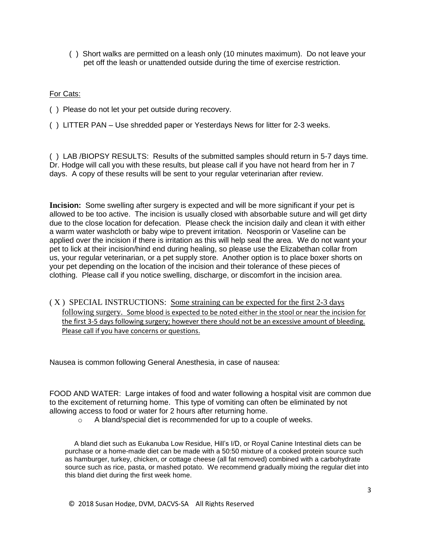( ) Short walks are permitted on a leash only (10 minutes maximum). Do not leave your pet off the leash or unattended outside during the time of exercise restriction.

## For Cats:

- ( ) Please do not let your pet outside during recovery.
- ( ) LITTER PAN Use shredded paper or Yesterdays News for litter for 2-3 weeks.

( ) LAB /BIOPSY RESULTS: Results of the submitted samples should return in 5-7 days time. Dr. Hodge will call you with these results, but please call if you have not heard from her in 7 days. A copy of these results will be sent to your regular veterinarian after review.

**Incision:** Some swelling after surgery is expected and will be more significant if your pet is allowed to be too active. The incision is usually closed with absorbable suture and will get dirty due to the close location for defecation. Please check the incision daily and clean it with either a warm water washcloth or baby wipe to prevent irritation. Neosporin or Vaseline can be applied over the incision if there is irritation as this will help seal the area. We do not want your pet to lick at their incision/hind end during healing, so please use the Elizabethan collar from us, your regular veterinarian, or a pet supply store. Another option is to place boxer shorts on your pet depending on the location of the incision and their tolerance of these pieces of clothing. Please call if you notice swelling, discharge, or discomfort in the incision area.

( X ) SPECIAL INSTRUCTIONS: Some straining can be expected for the first 2-3 days following surgery. Some blood is expected to be noted either in the stool or near the incision for the first 3-5 days following surgery; however there should not be an excessive amount of bleeding. Please call if you have concerns or questions.

Nausea is common following General Anesthesia, in case of nausea:

FOOD AND WATER: Large intakes of food and water following a hospital visit are common due to the excitement of returning home. This type of vomiting can often be eliminated by not allowing access to food or water for 2 hours after returning home.

o A bland/special diet is recommended for up to a couple of weeks.

A bland diet such as Eukanuba Low Residue, Hill's I/D, or Royal Canine Intestinal diets can be purchase or a home-made diet can be made with a 50:50 mixture of a cooked protein source such as hamburger, turkey, chicken, or cottage cheese (all fat removed) combined with a carbohydrate source such as rice, pasta, or mashed potato. We recommend gradually mixing the regular diet into this bland diet during the first week home.